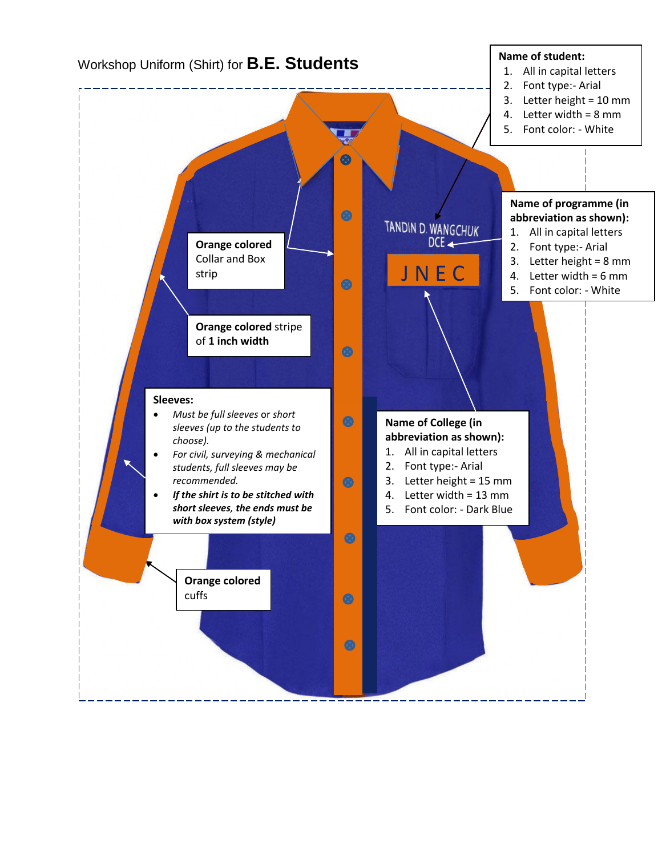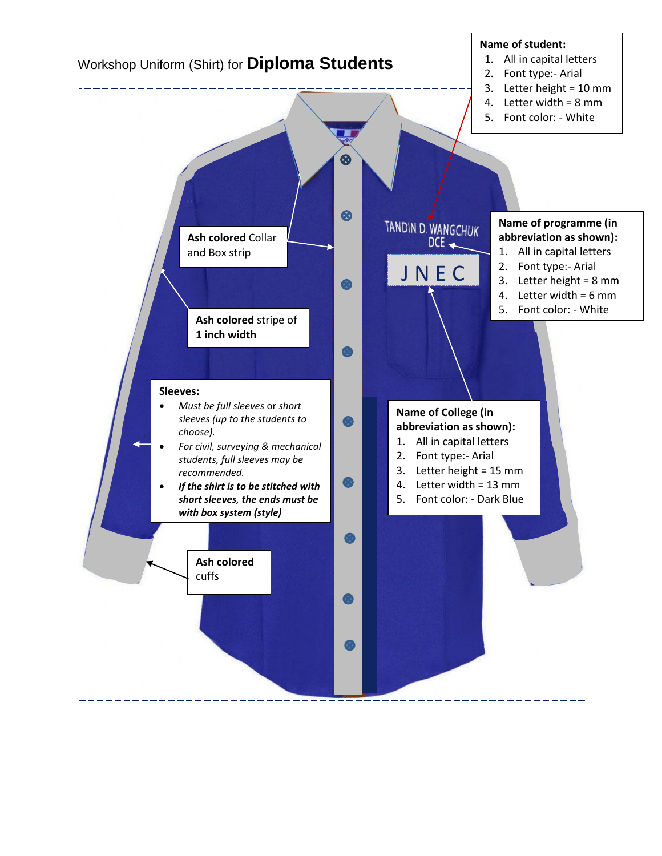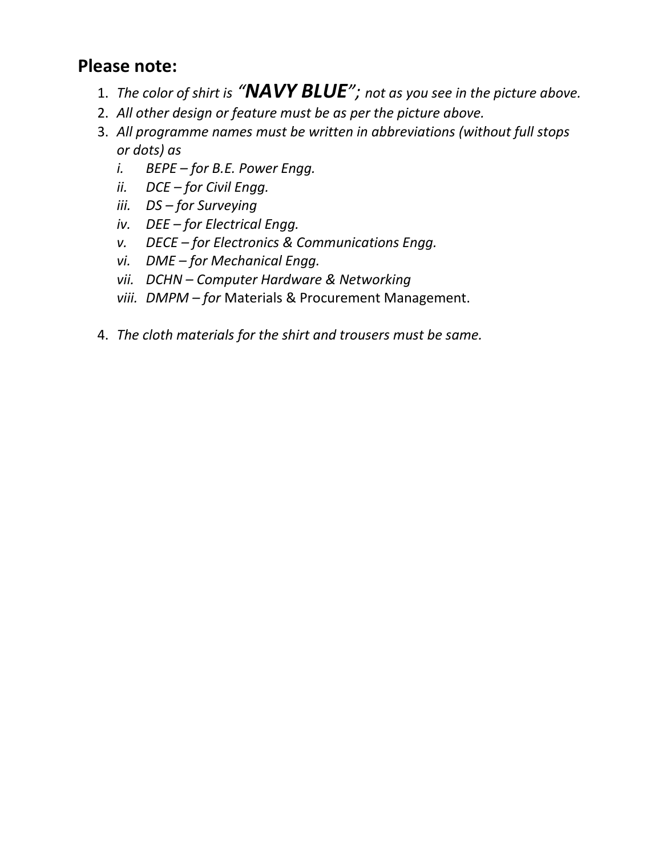# **Please note:**

- 1. *The color of shirt is "NAVY BLUE"; not as you see in the picture above.*
- 2. *All other design or feature must be as per the picture above.*
- 3. *All programme names must be written in abbreviations (without full stops or dots) as* 
	- *i. BEPE – for B.E. Power Engg.*
	- *ii. DCE – for Civil Engg.*
	- *iii. DS – for Surveying*
	- *iv. DEE – for Electrical Engg.*
	- *v. DECE – for Electronics & Communications Engg.*
	- *vi. DME – for Mechanical Engg.*
	- *vii. DCHN – Computer Hardware & Networking*
	- *viii. DMPM – for* Materials & Procurement Management.
- 4. *The cloth materials for the shirt and trousers must be same.*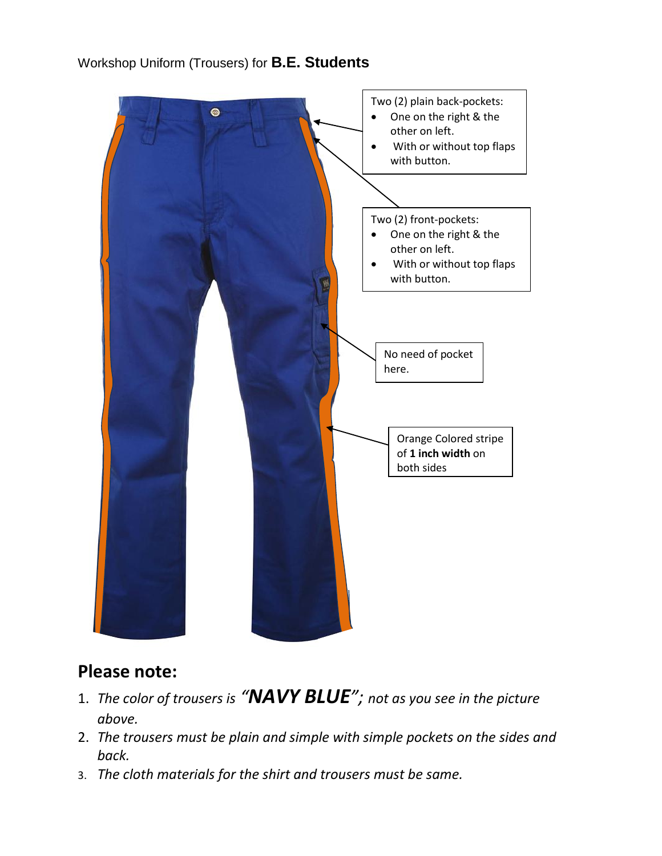

#### Workshop Uniform (Trousers) for **B.E. Students**

## **Please note:**

- 1. *The color of trousers is "NAVY BLUE"; not as you see in the picture above.*
- 2. *The trousers must be plain and simple with simple pockets on the sides and back.*
- 3. *The cloth materials for the shirt and trousers must be same.*